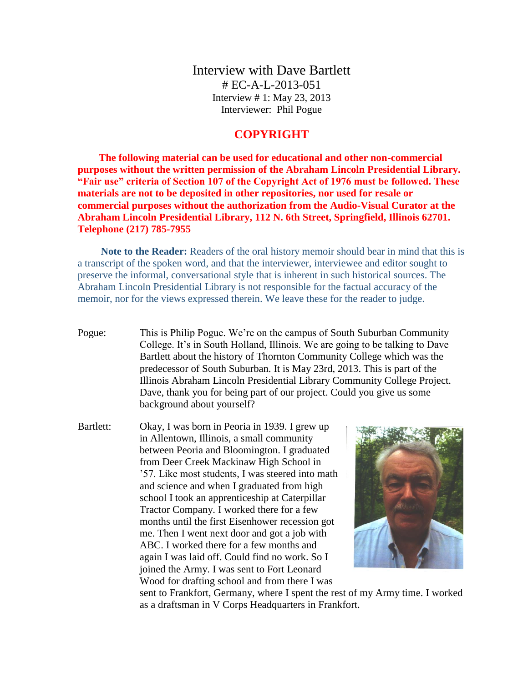Interview with Dave Bartlett # EC-A-L-2013-051 Interview # 1: May 23, 2013 Interviewer: Phil Pogue

## **COPYRIGHT**

**The following material can be used for educational and other non-commercial purposes without the written permission of the Abraham Lincoln Presidential Library. "Fair use" criteria of Section 107 of the Copyright Act of 1976 must be followed. These materials are not to be deposited in other repositories, nor used for resale or commercial purposes without the authorization from the Audio-Visual Curator at the Abraham Lincoln Presidential Library, 112 N. 6th Street, Springfield, Illinois 62701. Telephone (217) 785-7955**

**Note to the Reader:** Readers of the oral history memoir should bear in mind that this is a transcript of the spoken word, and that the interviewer, interviewee and editor sought to preserve the informal, conversational style that is inherent in such historical sources. The Abraham Lincoln Presidential Library is not responsible for the factual accuracy of the memoir, nor for the views expressed therein. We leave these for the reader to judge.

Pogue: This is Philip Pogue. We're on the campus of South Suburban Community College. It's in South Holland, Illinois. We are going to be talking to Dave Bartlett about the history of Thornton Community College which was the predecessor of South Suburban. It is May 23rd, 2013. This is part of the Illinois Abraham Lincoln Presidential Library Community College Project. Dave, thank you for being part of our project. Could you give us some background about yourself?

Bartlett: Okay, I was born in Peoria in 1939. I grew up in Allentown, Illinois, a small community between Peoria and Bloomington. I graduated from Deer Creek Mackinaw High School in '57. Like most students, I was steered into math and science and when I graduated from high school I took an apprenticeship at Caterpillar Tractor Company. I worked there for a few months until the first Eisenhower recession got me. Then I went next door and got a job with ABC. I worked there for a few months and again I was laid off. Could find no work. So I joined the Army. I was sent to Fort Leonard Wood for drafting school and from there I was



sent to Frankfort, Germany, where I spent the rest of my Army time. I worked as a draftsman in V Corps Headquarters in Frankfort.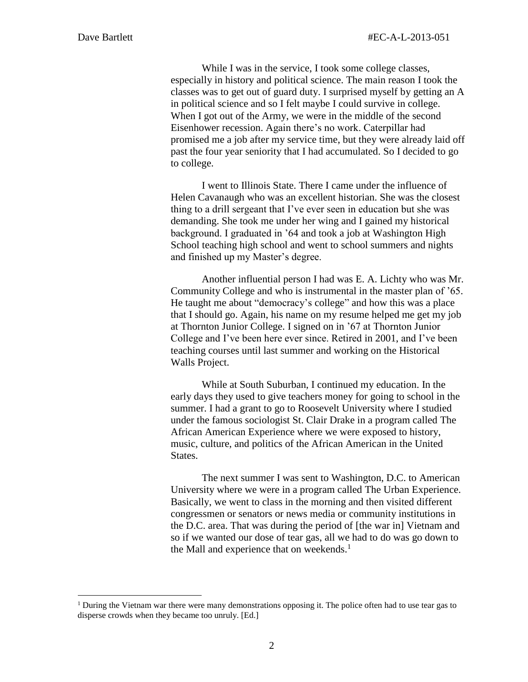$\overline{a}$ 

While I was in the service, I took some college classes, especially in history and political science. The main reason I took the classes was to get out of guard duty. I surprised myself by getting an A in political science and so I felt maybe I could survive in college. When I got out of the Army, we were in the middle of the second Eisenhower recession. Again there's no work. Caterpillar had promised me a job after my service time, but they were already laid off past the four year seniority that I had accumulated. So I decided to go to college.

I went to Illinois State. There I came under the influence of Helen Cavanaugh who was an excellent historian. She was the closest thing to a drill sergeant that I've ever seen in education but she was demanding. She took me under her wing and I gained my historical background. I graduated in '64 and took a job at Washington High School teaching high school and went to school summers and nights and finished up my Master's degree.

Another influential person I had was E. A. Lichty who was Mr. Community College and who is instrumental in the master plan of '65. He taught me about "democracy's college" and how this was a place that I should go. Again, his name on my resume helped me get my job at Thornton Junior College. I signed on in '67 at Thornton Junior College and I've been here ever since. Retired in 2001, and I've been teaching courses until last summer and working on the Historical Walls Project.

While at South Suburban, I continued my education. In the early days they used to give teachers money for going to school in the summer. I had a grant to go to Roosevelt University where I studied under the famous sociologist St. Clair Drake in a program called The African American Experience where we were exposed to history, music, culture, and politics of the African American in the United States.

The next summer I was sent to Washington, D.C. to American University where we were in a program called The Urban Experience. Basically, we went to class in the morning and then visited different congressmen or senators or news media or community institutions in the D.C. area. That was during the period of [the war in] Vietnam and so if we wanted our dose of tear gas, all we had to do was go down to the Mall and experience that on weekends. $<sup>1</sup>$ </sup>

<sup>&</sup>lt;sup>1</sup> During the Vietnam war there were many demonstrations opposing it. The police often had to use tear gas to disperse crowds when they became too unruly. [Ed.]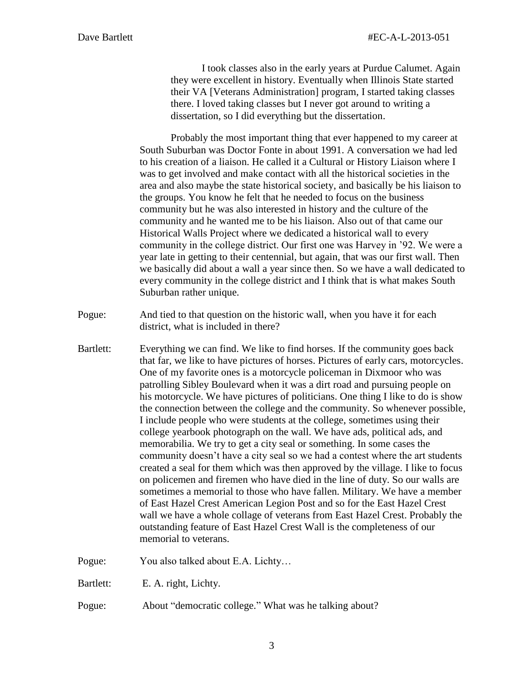I took classes also in the early years at Purdue Calumet. Again they were excellent in history. Eventually when Illinois State started their VA [Veterans Administration] program, I started taking classes there. I loved taking classes but I never got around to writing a dissertation, so I did everything but the dissertation.

Probably the most important thing that ever happened to my career at South Suburban was Doctor Fonte in about 1991. A conversation we had led to his creation of a liaison. He called it a Cultural or History Liaison where I was to get involved and make contact with all the historical societies in the area and also maybe the state historical society, and basically be his liaison to the groups. You know he felt that he needed to focus on the business community but he was also interested in history and the culture of the community and he wanted me to be his liaison. Also out of that came our Historical Walls Project where we dedicated a historical wall to every community in the college district. Our first one was Harvey in '92. We were a year late in getting to their centennial, but again, that was our first wall. Then we basically did about a wall a year since then. So we have a wall dedicated to every community in the college district and I think that is what makes South Suburban rather unique.

- Pogue: And tied to that question on the historic wall, when you have it for each district, what is included in there?
- Bartlett: Everything we can find. We like to find horses. If the community goes back that far, we like to have pictures of horses. Pictures of early cars, motorcycles. One of my favorite ones is a motorcycle policeman in Dixmoor who was patrolling Sibley Boulevard when it was a dirt road and pursuing people on his motorcycle. We have pictures of politicians. One thing I like to do is show the connection between the college and the community. So whenever possible, I include people who were students at the college, sometimes using their college yearbook photograph on the wall. We have ads, political ads, and memorabilia. We try to get a city seal or something. In some cases the community doesn't have a city seal so we had a contest where the art students created a seal for them which was then approved by the village. I like to focus on policemen and firemen who have died in the line of duty. So our walls are sometimes a memorial to those who have fallen. Military. We have a member of East Hazel Crest American Legion Post and so for the East Hazel Crest wall we have a whole collage of veterans from East Hazel Crest. Probably the outstanding feature of East Hazel Crest Wall is the completeness of our memorial to veterans.

Pogue: You also talked about E.A. Lichty…

- Bartlett: E. A. right, Lichty.
- Pogue: About "democratic college." What was he talking about?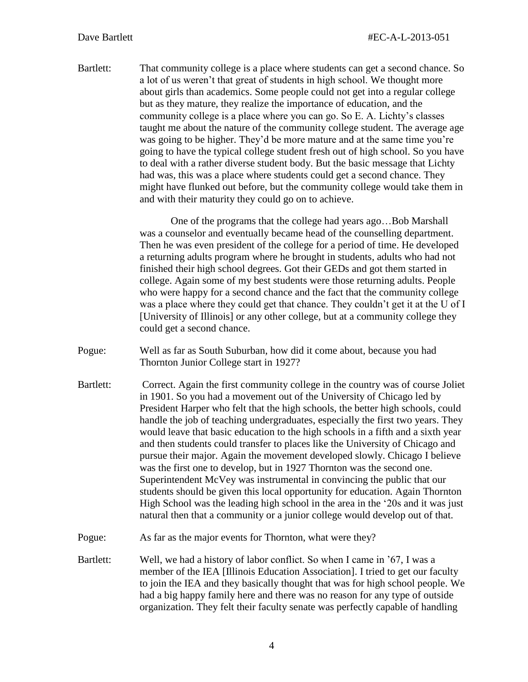Bartlett: That community college is a place where students can get a second chance. So a lot of us weren't that great of students in high school. We thought more about girls than academics. Some people could not get into a regular college but as they mature, they realize the importance of education, and the community college is a place where you can go. So E. A. Lichty's classes taught me about the nature of the community college student. The average age was going to be higher. They'd be more mature and at the same time you're going to have the typical college student fresh out of high school. So you have to deal with a rather diverse student body. But the basic message that Lichty had was, this was a place where students could get a second chance. They might have flunked out before, but the community college would take them in and with their maturity they could go on to achieve.

> One of the programs that the college had years ago…Bob Marshall was a counselor and eventually became head of the counselling department. Then he was even president of the college for a period of time. He developed a returning adults program where he brought in students, adults who had not finished their high school degrees. Got their GEDs and got them started in college. Again some of my best students were those returning adults. People who were happy for a second chance and the fact that the community college was a place where they could get that chance. They couldn't get it at the U of I [University of Illinois] or any other college, but at a community college they could get a second chance.

Pogue: Well as far as South Suburban, how did it come about, because you had Thornton Junior College start in 1927?

Bartlett: Correct. Again the first community college in the country was of course Joliet in 1901. So you had a movement out of the University of Chicago led by President Harper who felt that the high schools, the better high schools, could handle the job of teaching undergraduates, especially the first two years. They would leave that basic education to the high schools in a fifth and a sixth year and then students could transfer to places like the University of Chicago and pursue their major. Again the movement developed slowly. Chicago I believe was the first one to develop, but in 1927 Thornton was the second one. Superintendent McVey was instrumental in convincing the public that our students should be given this local opportunity for education. Again Thornton High School was the leading high school in the area in the '20s and it was just natural then that a community or a junior college would develop out of that.

Pogue: As far as the major events for Thornton, what were they?

Bartlett: Well, we had a history of labor conflict. So when I came in '67, I was a member of the IEA [Illinois Education Association]. I tried to get our faculty to join the IEA and they basically thought that was for high school people. We had a big happy family here and there was no reason for any type of outside organization. They felt their faculty senate was perfectly capable of handling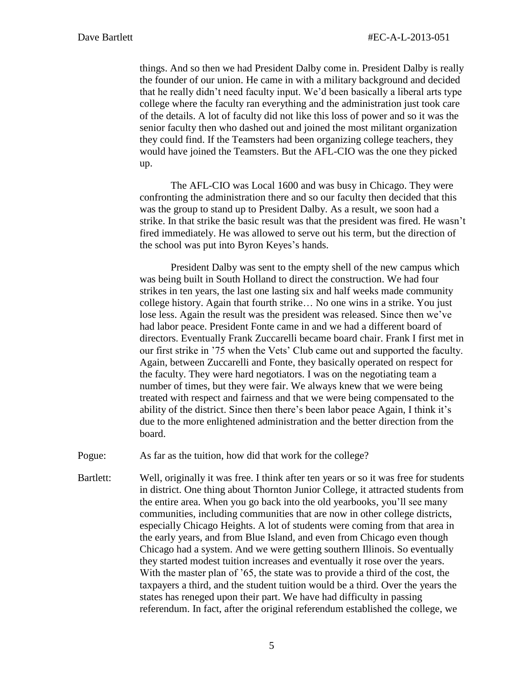things. And so then we had President Dalby come in. President Dalby is really the founder of our union. He came in with a military background and decided that he really didn't need faculty input. We'd been basically a liberal arts type college where the faculty ran everything and the administration just took care of the details. A lot of faculty did not like this loss of power and so it was the senior faculty then who dashed out and joined the most militant organization they could find. If the Teamsters had been organizing college teachers, they would have joined the Teamsters. But the AFL-CIO was the one they picked up.

The AFL-CIO was Local 1600 and was busy in Chicago. They were confronting the administration there and so our faculty then decided that this was the group to stand up to President Dalby. As a result, we soon had a strike. In that strike the basic result was that the president was fired. He wasn't fired immediately. He was allowed to serve out his term, but the direction of the school was put into Byron Keyes's hands.

President Dalby was sent to the empty shell of the new campus which was being built in South Holland to direct the construction. We had four strikes in ten years, the last one lasting six and half weeks made community college history. Again that fourth strike… No one wins in a strike. You just lose less. Again the result was the president was released. Since then we've had labor peace. President Fonte came in and we had a different board of directors. Eventually Frank Zuccarelli became board chair. Frank I first met in our first strike in '75 when the Vets' Club came out and supported the faculty. Again, between Zuccarelli and Fonte, they basically operated on respect for the faculty. They were hard negotiators. I was on the negotiating team a number of times, but they were fair. We always knew that we were being treated with respect and fairness and that we were being compensated to the ability of the district. Since then there's been labor peace Again, I think it's due to the more enlightened administration and the better direction from the board.

Pogue: As far as the tuition, how did that work for the college?

Bartlett: Well, originally it was free. I think after ten years or so it was free for students in district. One thing about Thornton Junior College, it attracted students from the entire area. When you go back into the old yearbooks, you'll see many communities, including communities that are now in other college districts, especially Chicago Heights. A lot of students were coming from that area in the early years, and from Blue Island, and even from Chicago even though Chicago had a system. And we were getting southern Illinois. So eventually they started modest tuition increases and eventually it rose over the years. With the master plan of '65, the state was to provide a third of the cost, the taxpayers a third, and the student tuition would be a third. Over the years the states has reneged upon their part. We have had difficulty in passing referendum. In fact, after the original referendum established the college, we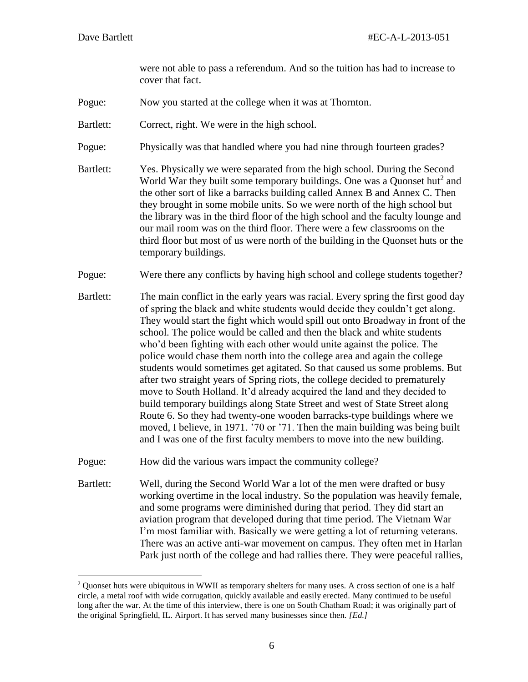$\overline{a}$ 

were not able to pass a referendum. And so the tuition has had to increase to cover that fact.

Pogue: Now you started at the college when it was at Thornton.

Bartlett: Correct, right. We were in the high school.

- Pogue: Physically was that handled where you had nine through fourteen grades?
- Bartlett: Yes. Physically we were separated from the high school. During the Second World War they built some temporary buildings. One was a Quonset hut<sup>2</sup> and the other sort of like a barracks building called Annex B and Annex C. Then they brought in some mobile units. So we were north of the high school but the library was in the third floor of the high school and the faculty lounge and our mail room was on the third floor. There were a few classrooms on the third floor but most of us were north of the building in the Quonset huts or the temporary buildings.
- Pogue: Were there any conflicts by having high school and college students together?
- Bartlett: The main conflict in the early years was racial. Every spring the first good day of spring the black and white students would decide they couldn't get along. They would start the fight which would spill out onto Broadway in front of the school. The police would be called and then the black and white students who'd been fighting with each other would unite against the police. The police would chase them north into the college area and again the college students would sometimes get agitated. So that caused us some problems. But after two straight years of Spring riots, the college decided to prematurely move to South Holland. It'd already acquired the land and they decided to build temporary buildings along State Street and west of State Street along Route 6. So they had twenty-one wooden barracks-type buildings where we moved, I believe, in 1971. '70 or '71. Then the main building was being built and I was one of the first faculty members to move into the new building.
- Pogue: How did the various wars impact the community college?
- Bartlett: Well, during the Second World War a lot of the men were drafted or busy working overtime in the local industry. So the population was heavily female, and some programs were diminished during that period. They did start an aviation program that developed during that time period. The Vietnam War I'm most familiar with. Basically we were getting a lot of returning veterans. There was an active anti-war movement on campus. They often met in Harlan Park just north of the college and had rallies there. They were peaceful rallies,

 $2$  Quonset huts were ubiquitous in WWII as temporary shelters for many uses. A cross section of one is a half circle, a metal roof with wide corrugation, quickly available and easily erected. Many continued to be useful long after the war. At the time of this interview, there is one on South Chatham Road; it was originally part of the original Springfield, IL. Airport. It has served many businesses since then*. [Ed.]*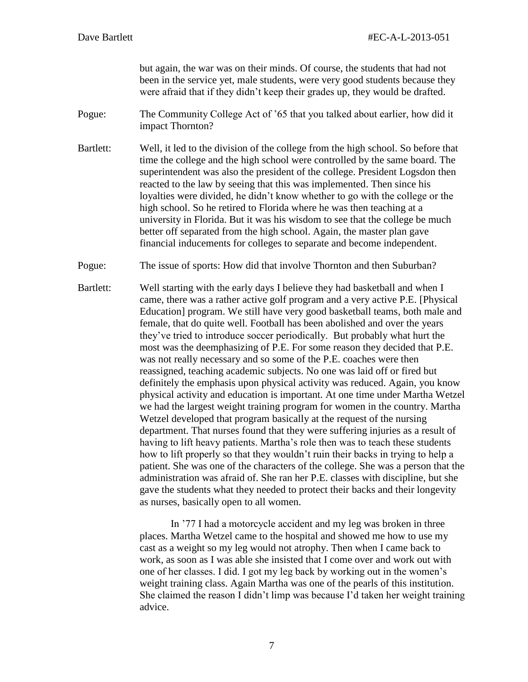but again, the war was on their minds. Of course, the students that had not been in the service yet, male students, were very good students because they were afraid that if they didn't keep their grades up, they would be drafted.

- Pogue: The Community College Act of '65 that you talked about earlier, how did it impact Thornton?
- Bartlett: Well, it led to the division of the college from the high school. So before that time the college and the high school were controlled by the same board. The superintendent was also the president of the college. President Logsdon then reacted to the law by seeing that this was implemented. Then since his loyalties were divided, he didn't know whether to go with the college or the high school. So he retired to Florida where he was then teaching at a university in Florida. But it was his wisdom to see that the college be much better off separated from the high school. Again, the master plan gave financial inducements for colleges to separate and become independent.
- Pogue: The issue of sports: How did that involve Thornton and then Suburban?
- Bartlett: Well starting with the early days I believe they had basketball and when I came, there was a rather active golf program and a very active P.E. [Physical Education] program. We still have very good basketball teams, both male and female, that do quite well. Football has been abolished and over the years they've tried to introduce soccer periodically. But probably what hurt the most was the deemphasizing of P.E. For some reason they decided that P.E. was not really necessary and so some of the P.E. coaches were then reassigned, teaching academic subjects. No one was laid off or fired but definitely the emphasis upon physical activity was reduced. Again, you know physical activity and education is important. At one time under Martha Wetzel we had the largest weight training program for women in the country. Martha Wetzel developed that program basically at the request of the nursing department. That nurses found that they were suffering injuries as a result of having to lift heavy patients. Martha's role then was to teach these students how to lift properly so that they wouldn't ruin their backs in trying to help a patient. She was one of the characters of the college. She was a person that the administration was afraid of. She ran her P.E. classes with discipline, but she gave the students what they needed to protect their backs and their longevity as nurses, basically open to all women.

In '77 I had a motorcycle accident and my leg was broken in three places. Martha Wetzel came to the hospital and showed me how to use my cast as a weight so my leg would not atrophy. Then when I came back to work, as soon as I was able she insisted that I come over and work out with one of her classes. I did. I got my leg back by working out in the women's weight training class. Again Martha was one of the pearls of this institution. She claimed the reason I didn't limp was because I'd taken her weight training advice.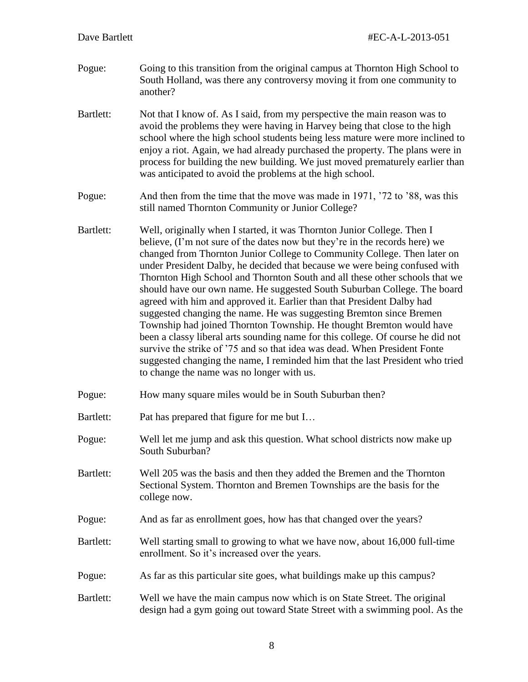- Pogue: Going to this transition from the original campus at Thornton High School to South Holland, was there any controversy moving it from one community to another?
- Bartlett: Not that I know of. As I said, from my perspective the main reason was to avoid the problems they were having in Harvey being that close to the high school where the high school students being less mature were more inclined to enjoy a riot. Again, we had already purchased the property. The plans were in process for building the new building. We just moved prematurely earlier than was anticipated to avoid the problems at the high school.
- Pogue: And then from the time that the move was made in 1971, '72 to '88, was this still named Thornton Community or Junior College?
- Bartlett: Well, originally when I started, it was Thornton Junior College. Then I believe, (I'm not sure of the dates now but they're in the records here) we changed from Thornton Junior College to Community College. Then later on under President Dalby, he decided that because we were being confused with Thornton High School and Thornton South and all these other schools that we should have our own name. He suggested South Suburban College. The board agreed with him and approved it. Earlier than that President Dalby had suggested changing the name. He was suggesting Bremton since Bremen Township had joined Thornton Township. He thought Bremton would have been a classy liberal arts sounding name for this college. Of course he did not survive the strike of '75 and so that idea was dead. When President Fonte suggested changing the name, I reminded him that the last President who tried to change the name was no longer with us.
- Pogue: How many square miles would be in South Suburban then?
- Bartlett: Pat has prepared that figure for me but I...
- Pogue: Well let me jump and ask this question. What school districts now make up South Suburban?
- Bartlett: Well 205 was the basis and then they added the Bremen and the Thornton Sectional System. Thornton and Bremen Townships are the basis for the college now.
- Pogue: And as far as enrollment goes, how has that changed over the years?
- Bartlett: Well starting small to growing to what we have now, about 16,000 full-time enrollment. So it's increased over the years.
- Pogue: As far as this particular site goes, what buildings make up this campus?
- Bartlett: Well we have the main campus now which is on State Street. The original design had a gym going out toward State Street with a swimming pool. As the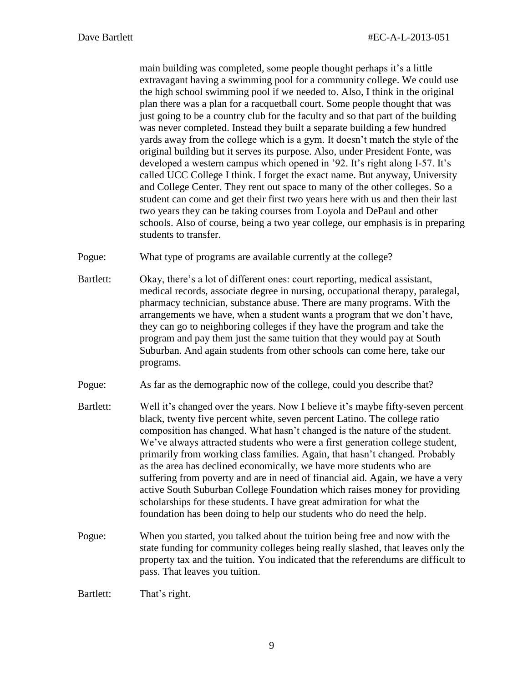main building was completed, some people thought perhaps it's a little extravagant having a swimming pool for a community college. We could use the high school swimming pool if we needed to. Also, I think in the original plan there was a plan for a racquetball court. Some people thought that was just going to be a country club for the faculty and so that part of the building was never completed. Instead they built a separate building a few hundred yards away from the college which is a gym. It doesn't match the style of the original building but it serves its purpose. Also, under President Fonte, was developed a western campus which opened in '92. It's right along I-57. It's called UCC College I think. I forget the exact name. But anyway, University and College Center. They rent out space to many of the other colleges. So a student can come and get their first two years here with us and then their last two years they can be taking courses from Loyola and DePaul and other schools. Also of course, being a two year college, our emphasis is in preparing students to transfer.

Pogue: What type of programs are available currently at the college?

Bartlett: Okay, there's a lot of different ones: court reporting, medical assistant, medical records, associate degree in nursing, occupational therapy, paralegal, pharmacy technician, substance abuse. There are many programs. With the arrangements we have, when a student wants a program that we don't have, they can go to neighboring colleges if they have the program and take the program and pay them just the same tuition that they would pay at South Suburban. And again students from other schools can come here, take our programs.

Pogue: As far as the demographic now of the college, could you describe that?

- Bartlett: Well it's changed over the years. Now I believe it's maybe fifty-seven percent black, twenty five percent white, seven percent Latino. The college ratio composition has changed. What hasn't changed is the nature of the student. We've always attracted students who were a first generation college student, primarily from working class families. Again, that hasn't changed. Probably as the area has declined economically, we have more students who are suffering from poverty and are in need of financial aid. Again, we have a very active South Suburban College Foundation which raises money for providing scholarships for these students. I have great admiration for what the foundation has been doing to help our students who do need the help.
- Pogue: When you started, you talked about the tuition being free and now with the state funding for community colleges being really slashed, that leaves only the property tax and the tuition. You indicated that the referendums are difficult to pass. That leaves you tuition.

Bartlett: That's right.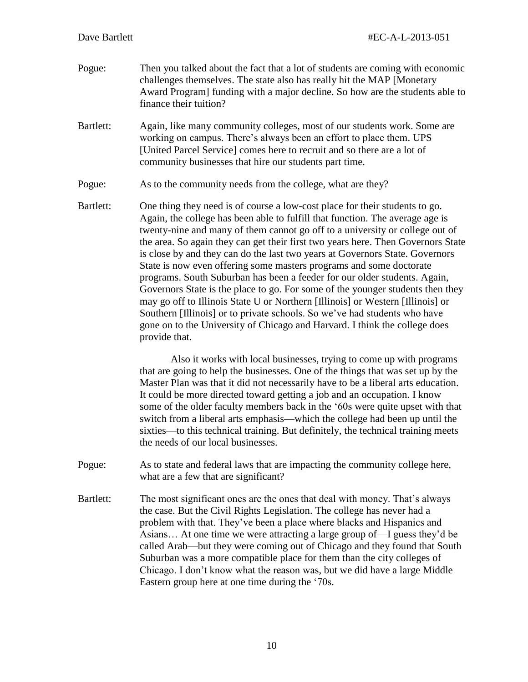- Pogue: Then you talked about the fact that a lot of students are coming with economic challenges themselves. The state also has really hit the MAP [Monetary Award Program] funding with a major decline. So how are the students able to finance their tuition?
- Bartlett: Again, like many community colleges, most of our students work. Some are working on campus. There's always been an effort to place them. UPS [United Parcel Service] comes here to recruit and so there are a lot of community businesses that hire our students part time.
- Pogue: As to the community needs from the college, what are they?
- Bartlett: One thing they need is of course a low-cost place for their students to go. Again, the college has been able to fulfill that function. The average age is twenty-nine and many of them cannot go off to a university or college out of the area. So again they can get their first two years here. Then Governors State is close by and they can do the last two years at Governors State. Governors State is now even offering some masters programs and some doctorate programs. South Suburban has been a feeder for our older students. Again, Governors State is the place to go. For some of the younger students then they may go off to Illinois State U or Northern [Illinois] or Western [Illinois] or Southern [Illinois] or to private schools. So we've had students who have gone on to the University of Chicago and Harvard. I think the college does provide that.

Also it works with local businesses, trying to come up with programs that are going to help the businesses. One of the things that was set up by the Master Plan was that it did not necessarily have to be a liberal arts education. It could be more directed toward getting a job and an occupation. I know some of the older faculty members back in the '60s were quite upset with that switch from a liberal arts emphasis—which the college had been up until the sixties—to this technical training. But definitely, the technical training meets the needs of our local businesses.

- Pogue: As to state and federal laws that are impacting the community college here, what are a few that are significant?
- Bartlett: The most significant ones are the ones that deal with money. That's always the case. But the Civil Rights Legislation. The college has never had a problem with that. They've been a place where blacks and Hispanics and Asians… At one time we were attracting a large group of—I guess they'd be called Arab—but they were coming out of Chicago and they found that South Suburban was a more compatible place for them than the city colleges of Chicago. I don't know what the reason was, but we did have a large Middle Eastern group here at one time during the '70s.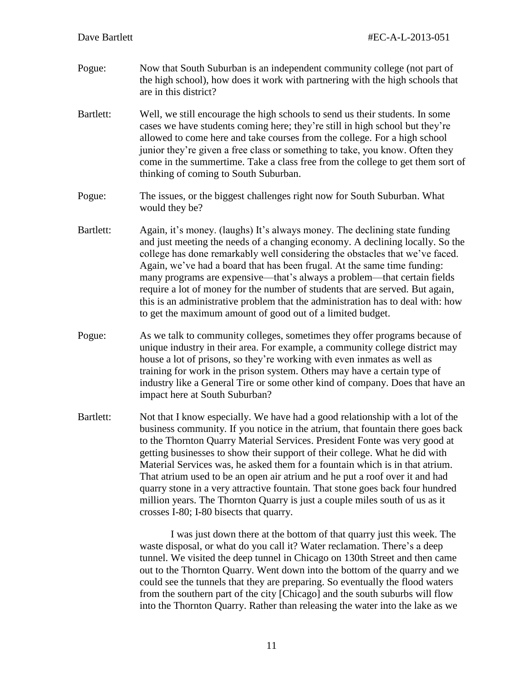- Pogue: Now that South Suburban is an independent community college (not part of the high school), how does it work with partnering with the high schools that are in this district?
- Bartlett: Well, we still encourage the high schools to send us their students. In some cases we have students coming here; they're still in high school but they're allowed to come here and take courses from the college. For a high school junior they're given a free class or something to take, you know. Often they come in the summertime. Take a class free from the college to get them sort of thinking of coming to South Suburban.
- Pogue: The issues, or the biggest challenges right now for South Suburban. What would they be?
- Bartlett: Again, it's money. (laughs) It's always money. The declining state funding and just meeting the needs of a changing economy. A declining locally. So the college has done remarkably well considering the obstacles that we've faced. Again, we've had a board that has been frugal. At the same time funding: many programs are expensive—that's always a problem—that certain fields require a lot of money for the number of students that are served. But again, this is an administrative problem that the administration has to deal with: how to get the maximum amount of good out of a limited budget.
- Pogue: As we talk to community colleges, sometimes they offer programs because of unique industry in their area. For example, a community college district may house a lot of prisons, so they're working with even inmates as well as training for work in the prison system. Others may have a certain type of industry like a General Tire or some other kind of company. Does that have an impact here at South Suburban?
- Bartlett: Not that I know especially. We have had a good relationship with a lot of the business community. If you notice in the atrium, that fountain there goes back to the Thornton Quarry Material Services. President Fonte was very good at getting businesses to show their support of their college. What he did with Material Services was, he asked them for a fountain which is in that atrium. That atrium used to be an open air atrium and he put a roof over it and had quarry stone in a very attractive fountain. That stone goes back four hundred million years. The Thornton Quarry is just a couple miles south of us as it crosses I-80; I-80 bisects that quarry.

I was just down there at the bottom of that quarry just this week. The waste disposal, or what do you call it? Water reclamation. There's a deep tunnel. We visited the deep tunnel in Chicago on 130th Street and then came out to the Thornton Quarry. Went down into the bottom of the quarry and we could see the tunnels that they are preparing. So eventually the flood waters from the southern part of the city [Chicago] and the south suburbs will flow into the Thornton Quarry. Rather than releasing the water into the lake as we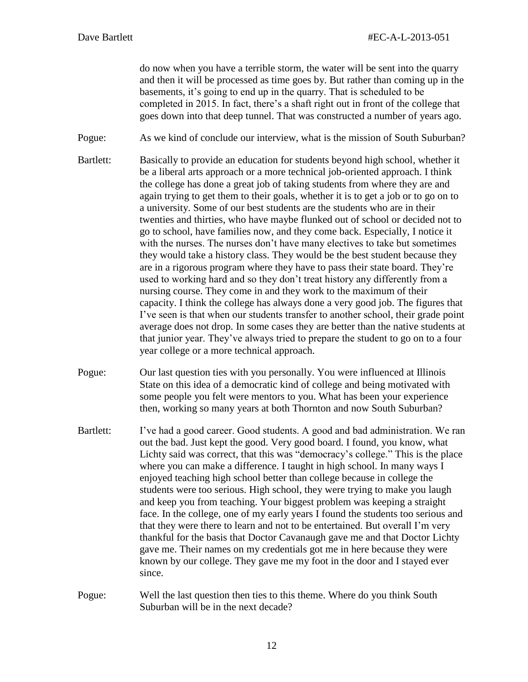do now when you have a terrible storm, the water will be sent into the quarry and then it will be processed as time goes by. But rather than coming up in the basements, it's going to end up in the quarry. That is scheduled to be completed in 2015. In fact, there's a shaft right out in front of the college that goes down into that deep tunnel. That was constructed a number of years ago.

Pogue: As we kind of conclude our interview, what is the mission of South Suburban?

- Bartlett: Basically to provide an education for students beyond high school, whether it be a liberal arts approach or a more technical job-oriented approach. I think the college has done a great job of taking students from where they are and again trying to get them to their goals, whether it is to get a job or to go on to a university. Some of our best students are the students who are in their twenties and thirties, who have maybe flunked out of school or decided not to go to school, have families now, and they come back. Especially, I notice it with the nurses. The nurses don't have many electives to take but sometimes they would take a history class. They would be the best student because they are in a rigorous program where they have to pass their state board. They're used to working hard and so they don't treat history any differently from a nursing course. They come in and they work to the maximum of their capacity. I think the college has always done a very good job. The figures that I've seen is that when our students transfer to another school, their grade point average does not drop. In some cases they are better than the native students at that junior year. They've always tried to prepare the student to go on to a four year college or a more technical approach.
- Pogue: Our last question ties with you personally. You were influenced at Illinois State on this idea of a democratic kind of college and being motivated with some people you felt were mentors to you. What has been your experience then, working so many years at both Thornton and now South Suburban?
- Bartlett: I've had a good career. Good students. A good and bad administration. We ran out the bad. Just kept the good. Very good board. I found, you know, what Lichty said was correct, that this was "democracy's college." This is the place where you can make a difference. I taught in high school. In many ways I enjoyed teaching high school better than college because in college the students were too serious. High school, they were trying to make you laugh and keep you from teaching. Your biggest problem was keeping a straight face. In the college, one of my early years I found the students too serious and that they were there to learn and not to be entertained. But overall I'm very thankful for the basis that Doctor Cavanaugh gave me and that Doctor Lichty gave me. Their names on my credentials got me in here because they were known by our college. They gave me my foot in the door and I stayed ever since.
- Pogue: Well the last question then ties to this theme. Where do you think South Suburban will be in the next decade?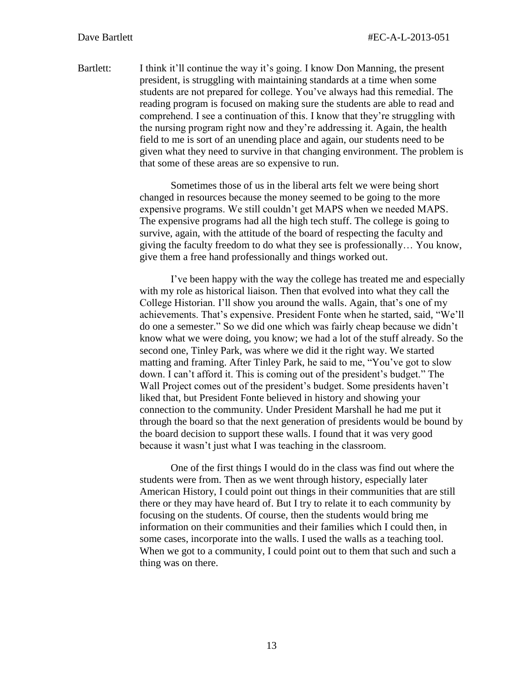Bartlett: I think it'll continue the way it's going. I know Don Manning, the present president, is struggling with maintaining standards at a time when some students are not prepared for college. You've always had this remedial. The reading program is focused on making sure the students are able to read and comprehend. I see a continuation of this. I know that they're struggling with the nursing program right now and they're addressing it. Again, the health field to me is sort of an unending place and again, our students need to be given what they need to survive in that changing environment. The problem is that some of these areas are so expensive to run.

> Sometimes those of us in the liberal arts felt we were being short changed in resources because the money seemed to be going to the more expensive programs. We still couldn't get MAPS when we needed MAPS. The expensive programs had all the high tech stuff. The college is going to survive, again, with the attitude of the board of respecting the faculty and giving the faculty freedom to do what they see is professionally… You know, give them a free hand professionally and things worked out.

> I've been happy with the way the college has treated me and especially with my role as historical liaison. Then that evolved into what they call the College Historian. I'll show you around the walls. Again, that's one of my achievements. That's expensive. President Fonte when he started, said, "We'll do one a semester." So we did one which was fairly cheap because we didn't know what we were doing, you know; we had a lot of the stuff already. So the second one, Tinley Park, was where we did it the right way. We started matting and framing. After Tinley Park, he said to me, "You've got to slow down. I can't afford it. This is coming out of the president's budget." The Wall Project comes out of the president's budget. Some presidents haven't liked that, but President Fonte believed in history and showing your connection to the community. Under President Marshall he had me put it through the board so that the next generation of presidents would be bound by the board decision to support these walls. I found that it was very good because it wasn't just what I was teaching in the classroom.

One of the first things I would do in the class was find out where the students were from. Then as we went through history, especially later American History, I could point out things in their communities that are still there or they may have heard of. But I try to relate it to each community by focusing on the students. Of course, then the students would bring me information on their communities and their families which I could then, in some cases, incorporate into the walls. I used the walls as a teaching tool. When we got to a community, I could point out to them that such and such a thing was on there.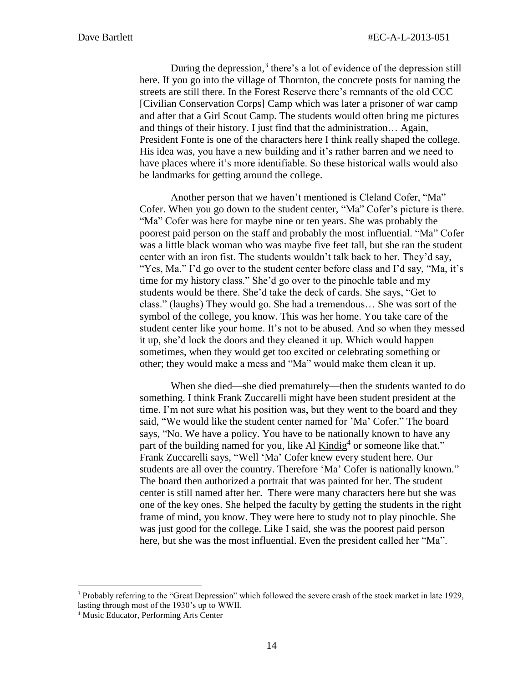During the depression,<sup>3</sup> there's a lot of evidence of the depression still here. If you go into the village of Thornton, the concrete posts for naming the streets are still there. In the Forest Reserve there's remnants of the old CCC [Civilian Conservation Corps] Camp which was later a prisoner of war camp and after that a Girl Scout Camp. The students would often bring me pictures and things of their history. I just find that the administration… Again, President Fonte is one of the characters here I think really shaped the college. His idea was, you have a new building and it's rather barren and we need to have places where it's more identifiable. So these historical walls would also be landmarks for getting around the college.

Another person that we haven't mentioned is Cleland Cofer, "Ma" Cofer. When you go down to the student center, "Ma" Cofer's picture is there. "Ma" Cofer was here for maybe nine or ten years. She was probably the poorest paid person on the staff and probably the most influential. "Ma" Cofer was a little black woman who was maybe five feet tall, but she ran the student center with an iron fist. The students wouldn't talk back to her. They'd say, "Yes, Ma." I'd go over to the student center before class and I'd say, "Ma, it's time for my history class." She'd go over to the pinochle table and my students would be there. She'd take the deck of cards. She says, "Get to class." (laughs) They would go. She had a tremendous… She was sort of the symbol of the college, you know. This was her home. You take care of the student center like your home. It's not to be abused. And so when they messed it up, she'd lock the doors and they cleaned it up. Which would happen sometimes, when they would get too excited or celebrating something or other; they would make a mess and "Ma" would make them clean it up.

When she died—she died prematurely—then the students wanted to do something. I think Frank Zuccarelli might have been student president at the time. I'm not sure what his position was, but they went to the board and they said, "We would like the student center named for 'Ma' Cofer." The board says, "No. We have a policy. You have to be nationally known to have any part of the building named for you, like Al **Kindig**<sup>4</sup> or someone like that." Frank Zuccarelli says, "Well 'Ma' Cofer knew every student here. Our students are all over the country. Therefore 'Ma' Cofer is nationally known." The board then authorized a portrait that was painted for her. The student center is still named after her. There were many characters here but she was one of the key ones. She helped the faculty by getting the students in the right frame of mind, you know. They were here to study not to play pinochle. She was just good for the college. Like I said, she was the poorest paid person here, but she was the most influential. Even the president called her "Ma".

 $\overline{a}$ 

<sup>&</sup>lt;sup>3</sup> Probably referring to the "Great Depression" which followed the severe crash of the stock market in late 1929, lasting through most of the 1930's up to WWII.

<sup>4</sup> Music Educator, Performing Arts Center